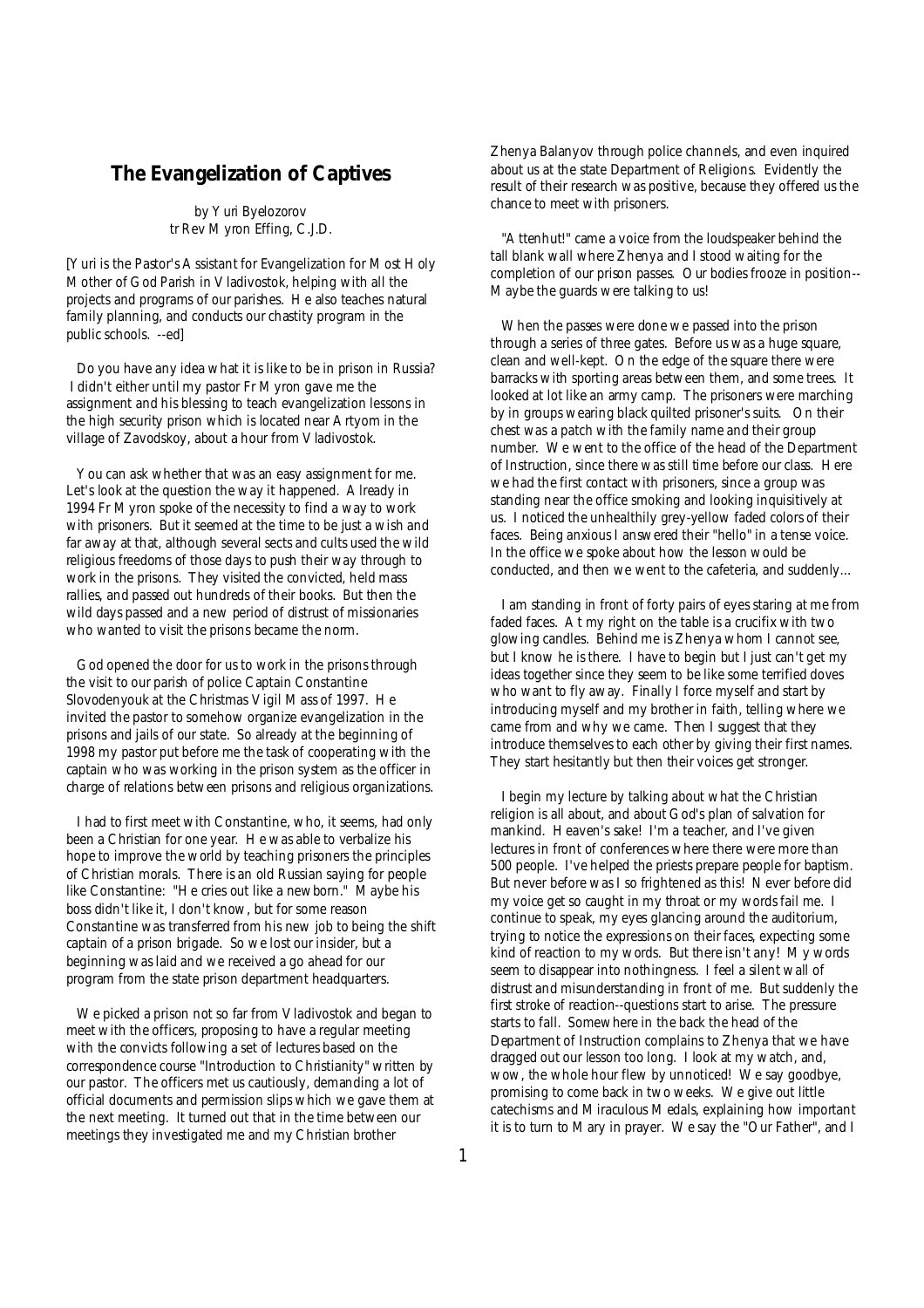### **The Evangelization of Captives**

*by Yuri Byelozorov tr Rev Myron Effing, C.J.D.* 

[Yuri is the Pastor's Assistant for Evangelization for Most Holy Mother of God Parish in Vladivostok, helping with all the projects and programs of our parishes. He also teaches natural family planning, and conducts our chastity program in the public schools. --ed]

Do you have any idea what it is like to be in prison in Russia? I didn't either until my pastor Fr Myron gave me the assignment and his blessing to teach evangelization lessons in the high security prison which is located near Artyom in the village of Zavodskoy, about a hour from Vladivostok.

You can ask whether that was an easy assignment for me. Let's look at the question the way it happened. Already in 1994 Fr Myron spoke of the necessity to find a way to work with prisoners. But it seemed at the time to be just a wish and far away at that, although several sects and cults used the wild religious freedoms of those days to push their way through to work in the prisons. They visited the convicted, held mass rallies, and passed out hundreds of their books. But then the wild days passed and a new period of distrust of missionaries who wanted to visit the prisons became the norm.

God opened the door for us to work in the prisons through the visit to our parish of police Captain Constantine Slovodenyouk at the Christmas Vigil Mass of 1997. He invited the pastor to somehow organize evangelization in the prisons and jails of our state. So already at the beginning of 1998 my pastor put before me the task of cooperating with the captain who was working in the prison system as the officer in charge of relations between prisons and religious organizations.

I had to first meet with Constantine, who, it seems, had only been a Christian for one year. He was able to verbalize his hope to improve the world by teaching prisoners the principles of Christian morals. There is an old Russian saying for people like Constantine: "He cries out like a newborn." Maybe his boss didn't like it, I don't know, but for some reason Constantine was transferred from his new job to being the shift captain of a prison brigade. So we lost our insider, but a beginning was laid and we received a go ahead for our program from the state prison department headquarters.

We picked a prison not so far from Vladivostok and began to meet with the officers, proposing to have a regular meeting with the convicts following a set of lectures based on the correspondence course "Introduction to Christianity" written by our pastor. The officers met us cautiously, demanding a lot of official documents and permission slips which we gave them at the next meeting. It turned out that in the time between our meetings they investigated me and my Christian brother

Zhenya Balanyov through police channels, and even inquired about us at the state Department of Religions. Evidently the result of their research was positive, because they offered us the chance to meet with prisoners.

 "Attenhut!" came a voice from the loudspeaker behind the tall blank wall where Zhenya and I stood waiting for the completion of our prison passes. Our bodies frooze in position-- Maybe the guards were talking to us!

 When the passes were done we passed into the prison through a series of three gates. Before us was a huge square, clean and well-kept. On the edge of the square there were barracks with sporting areas between them, and some trees. It looked at lot like an army camp. The prisoners were marching by in groups wearing black quilted prisoner's suits. On their chest was a patch with the family name and their group number. We went to the office of the head of the Department of Instruction, since there was still time before our class. Here we had the first contact with prisoners, since a group was standing near the office smoking and looking inquisitively at us. I noticed the unhealthily grey-yellow faded colors of their faces. Being anxious I answered their "hello" in a tense voice. In the office we spoke about how the lesson would be conducted, and then we went to the cafeteria, and suddenly...

 I am standing in front of forty pairs of eyes staring at me from faded faces. At my right on the table is a crucifix with two glowing candles. Behind me is Zhenya whom I cannot see, but I know he is there. I have to begin but I just can't get my ideas together since they seem to be like some terrified doves who want to fly away. Finally I force myself and start by introducing myself and my brother in faith, telling where we came from and why we came. Then I suggest that they introduce themselves to each other by giving their first names. They start hesitantly but then their voices get stronger.

 I begin my lecture by talking about what the Christian religion is all about, and about God's plan of salvation for mankind. Heaven's sake! I'm a teacher, and I've given lectures in front of conferences where there were more than 500 people. I've helped the priests prepare people for baptism. But never before was I so frightened as this! Never before did my voice get so caught in my throat or my words fail me. I continue to speak, my eyes glancing around the auditorium, trying to notice the expressions on their faces, expecting some kind of reaction to my words. But there isn't any! My words seem to disappear into nothingness. I feel a silent wall of distrust and misunderstanding in front of me. But suddenly the first stroke of reaction--questions start to arise. The pressure starts to fall. Somewhere in the back the head of the Department of Instruction complains to Zhenya that we have dragged out our lesson too long. I look at my watch, and, wow, the whole hour flew by unnoticed! We say goodbye, promising to come back in two weeks. We give out little catechisms and Miraculous Medals, explaining how important it is to turn to Mary in prayer. We say the "Our Father", and I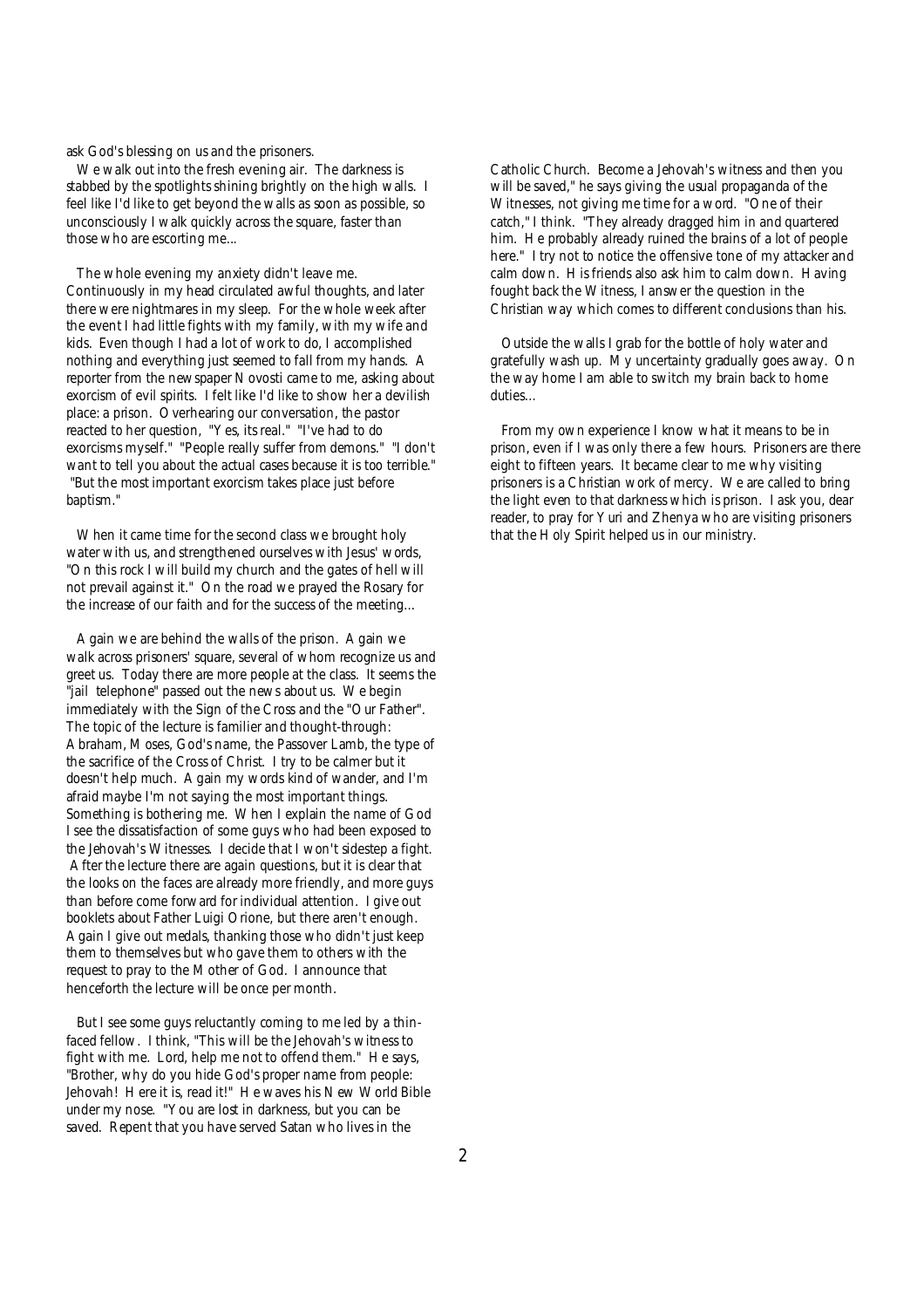ask God's blessing on us and the prisoners.

We walk out into the fresh evening air. The darkness is stabbed by the spotlights shining brightly on the high walls. I feel like I'd like to get beyond the walls as soon as possible, so unconsciously I walk quickly across the square, faster than those who are escorting me...

The whole evening my anxiety didn't leave me. Continuously in my head circulated awful thoughts, and later there were nightmares in my sleep. For the whole week after the event I had little fights with my family, with my wife and kids. Even though I had a lot of work to do, I accomplished nothing and everything just seemed to fall from my hands. A reporter from the newspaper *Novosti* came to me, asking about exorcism of evil spirits. I felt like I'd like to show her a devilish place: a prison. Overhearing our conversation, the pastor reacted to her question, "Yes, its real." "I've had to do exorcisms myself." "People really suffer from demons." "I don't want to tell you about the actual cases because it is too terrible." "But the most important exorcism takes place just before baptism."

When it came time for the second class we brought holy water with us, and strengthened ourselves with Jesus' words, "On this rock I will build my church and the gates of hell will not prevail against it." On the road we prayed the Rosary for the increase of our faith and for the success of the meeting...

Again we are behind the walls of the prison. Again we walk across prisoners' square, several of whom recognize us and greet us. Today there are more people at the class. It seems the "jail telephone" passed out the news about us. We begin immediately with the Sign of the Cross and the "Our Father". The topic of the lecture is familier and thought-through: Abraham, Moses, God's name, the Passover Lamb, the type of the sacrifice of the Cross of Christ. I try to be calmer but it doesn't help much. Again my words kind of wander, and I'm afraid maybe I'm not saying the most important things. Something is bothering me. When I explain the name of God I see the dissatisfaction of some guys who had been exposed to the Jehovah's Witnesses. I decide that I won't sidestep a fight. After the lecture there are again questions, but it is clear that the looks on the faces are already more friendly, and more guys than before come forward for individual attention. I give out booklets about Father Luigi Orione, but there aren't enough. Again I give out medals, thanking those who didn't just keep them to themselves but who gave them to others with the request to pray to the Mother of God. I announce that henceforth the lecture will be once per month.

But I see some guys reluctantly coming to me led by a thinfaced fellow. I think, "This will be the Jehovah's witness to fight with me. Lord, help me not to offend them." He says, "Brother, why do you hide God's proper name from people: Jehovah! Here it is, read it!" He waves his New World Bible under my nose. "You are lost in darkness, but you can be saved. Repent that you have served Satan who lives in the

Catholic Church. Become a Jehovah's witness and then you will be saved," he says giving the usual propaganda of the Witnesses, not giving me time for a word. "One of their catch," I think. "They already dragged him in and quartered him. He probably already ruined the brains of a lot of people here." I try not to notice the offensive tone of my attacker and calm down. His friends also ask him to calm down. Having fought back the Witness, I answer the question in the Christian way which comes to different conclusions than his.

 Outside the walls I grab for the bottle of holy water and gratefully wash up. My uncertainty gradually goes away. On the way home I am able to switch my brain back to home duties...

 From my own experience I know what it means to be in prison, even if I was only there a few hours. Prisoners are there eight to fifteen years. It became clear to me why visiting prisoners is a Christian work of mercy. We are called to bring the light even to that darkness which is prison. I ask you, dear reader, to pray for Yuri and Zhenya who are visiting prisoners that the Holy Spirit helped us in our ministry.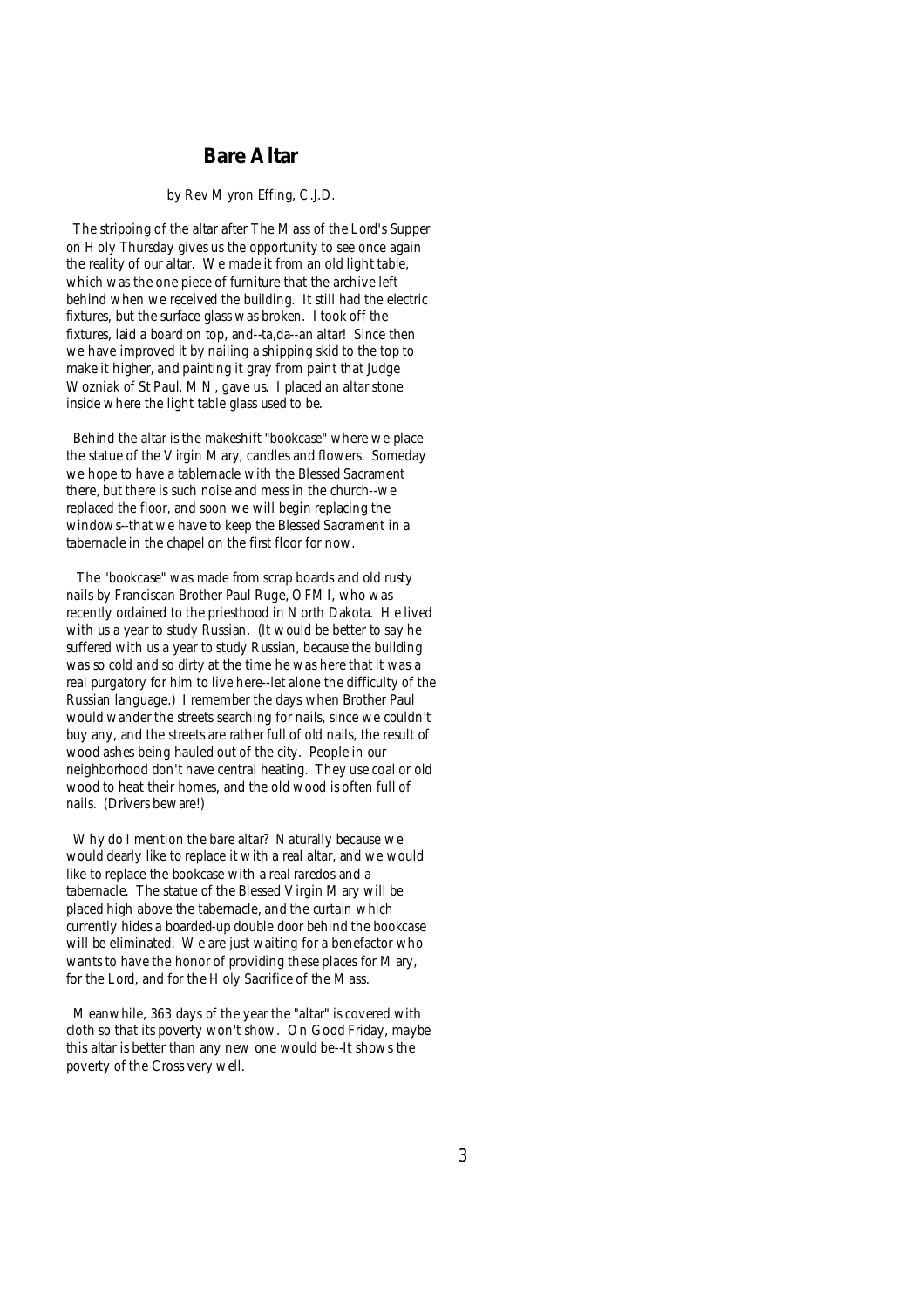## **Bare Altar**

### *by Rev Myron Effing, C.J.D.*

The stripping of the altar after The Mass of the Lord's Supper on Holy Thursday gives us the opportunity to see once again the reality of our altar. We made it from an old light table, which was the one piece of furniture that the archive left behind when we received the building. It still had the electric fixtures, but the surface glass was broken. I took off the fixtures, laid a board on top, and--ta,da--an altar! Since then we have improved it by nailing a shipping skid to the top to make it higher, and painting it gray from paint that Judge Wozniak of St Paul, MN, gave us. I placed an altar stone inside where the light table glass used to be.

Behind the altar is the makeshift "bookcase" where we place the statue of the Virgin Mary, candles and flowers. Someday we hope to have a tablernacle with the Blessed Sacrament there, but there is such noise and mess in the church--we replaced the floor, and soon we will begin replacing the windows--that we have to keep the Blessed Sacrament in a tabernacle in the chapel on the first floor for now.

The "bookcase" was made from scrap boards and old rusty nails by Franciscan Brother Paul Ruge, OFMI, who was recently ordained to the priesthood in North Dakota. He lived with us a year to study Russian. (It would be better to say he suffered with us a year to study Russian, because the building was so cold and so dirty at the time he was here that it was a real purgatory for him to live here--let alone the difficulty of the Russian language.) I remember the days when Brother Paul would wander the streets searching for nails, since we couldn't buy any, and the streets are rather full of old nails, the result of wood ashes being hauled out of the city. People in our neighborhood don't have central heating. They use coal or old wood to heat their homes, and the old wood is often full of nails. (Drivers beware!)

Why do I mention the bare altar? Naturally because we would dearly like to replace it with a real altar, and we would like to replace the bookcase with a real raredos and a tabernacle. The statue of the Blessed Virgin Mary will be placed high above the tabernacle, and the curtain which currently hides a boarded-up double door behind the bookcase will be eliminated. We are just waiting for a benefactor who wants to have the honor of providing these places for Mary, for the Lord, and for the Holy Sacrifice of the Mass.

Meanwhile, 363 days of the year the "altar" is covered with cloth so that its poverty won't show. On Good Friday, maybe this altar is better than any new one would be--It shows the poverty of the Cross very well.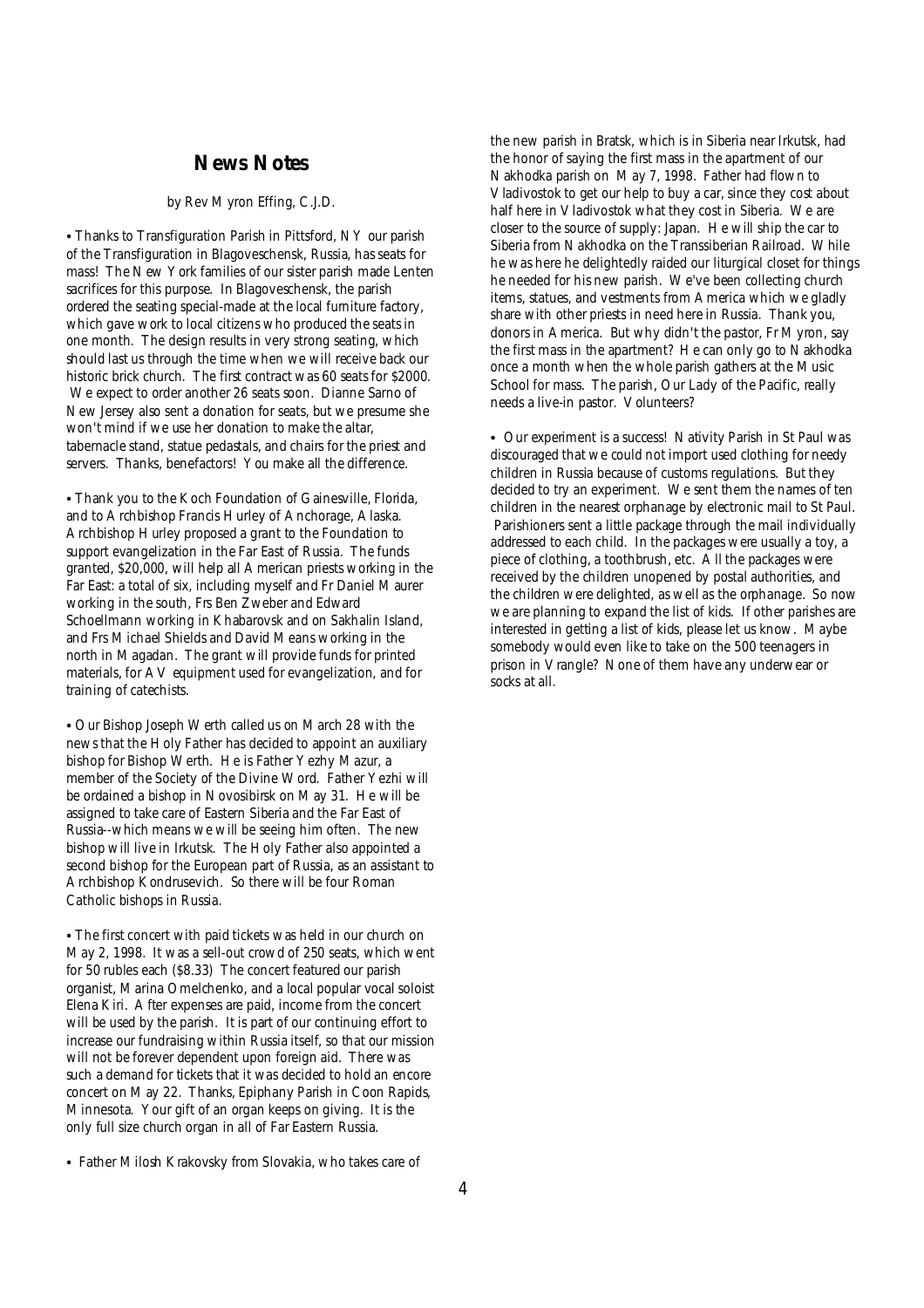### **News Notes**

#### *by Rev Myron Effing, C.J.D.*

• Thanks to Transfiguration Parish in Pittsford, NY our parish of the Transfiguration in Blagoveschensk, Russia, has seats for mass! The New York families of our sister parish made Lenten sacrifices for this purpose. In Blagoveschensk, the parish ordered the seating special-made at the local furniture factory, which gave work to local citizens who produced the seats in one month. The design results in very strong seating, which should last us through the time when we will receive back our historic brick church. The first contract was 60 seats for \$2000. We expect to order another 26 seats soon. Dianne Sarno of New Jersey also sent a donation for seats, but we presume she won't mind if we use her donation to make the altar, tabernacle stand, statue pedastals, and chairs for the priest and servers. Thanks, benefactors! You make all the difference.

• Thank you to the Koch Foundation of Gainesville, Florida, and to Archbishop Francis Hurley of Anchorage, Alaska. Archbishop Hurley proposed a grant to the Foundation to support evangelization in the Far East of Russia. The funds granted, \$20,000, will help all American priests working in the Far East: a total of six, including myself and Fr Daniel Maurer working in the south, Frs Ben Zweber and Edward Schoellmann working in Khabarovsk and on Sakhalin Island, and Frs Michael Shields and David Means working in the north in Magadan. The grant will provide funds for printed materials, for AV equipment used for evangelization, and for training of catechists.

• Our Bishop Joseph Werth called us on March 28 with the news that the Holy Father has decided to appoint an auxiliary bishop for Bishop Werth. He is Father Yezhy Mazur, a member of the Society of the Divine Word. Father Yezhi will be ordained a bishop in Novosibirsk on May 31. He will be assigned to take care of Eastern Siberia and the Far East of Russia--which means we will be seeing him often. The new bishop will live in Irkutsk. The Holy Father also appointed a second bishop for the European part of Russia, as an assistant to Archbishop Kondrusevich. So there will be four Roman Catholic bishops in Russia.

• The first concert with paid tickets was held in our church on May 2, 1998. It was a sell-out crowd of 250 seats, which went for 50 rubles each (\$8.33) The concert featured our parish organist, Marina Omelchenko, and a local popular vocal soloist Elena Kiri. After expenses are paid, income from the concert will be used by the parish. It is part of our continuing effort to increase our fundraising within Russia itself, so that our mission will not be forever dependent upon foreign aid. There was such a demand for tickets that it was decided to hold an encore concert on May 22. Thanks, Epiphany Parish in Coon Rapids, Minnesota. Your gift of an organ keeps on giving. It is the only full size church organ in all of Far Eastern Russia.

• Father Milosh Krakovsky from Slovakia, who takes care of

the new parish in Bratsk, which is in Siberia near Irkutsk, had the honor of saying the first mass in the apartment of our Nakhodka parish on May 7, 1998. Father had flown to Vladivostok to get our help to buy a car, since they cost about half here in Vladivostok what they cost in Siberia. We are closer to the source of supply: Japan. He will ship the car to Siberia from Nakhodka on the Transsiberian Railroad. While he was here he delightedly raided our liturgical closet for things he needed for his new parish. We've been collecting church items, statues, and vestments from America which we gladly share with other priests in need here in Russia. Thank you, donors in America. But why didn't the pastor, Fr Myron, say the first mass in the apartment? He can only go to Nakhodka once a month when the whole parish gathers at the Music School for mass. The parish, Our Lady of the Pacific, really needs a live-in pastor. Volunteers?

• Our experiment is a success! Nativity Parish in St Paul was discouraged that we could not import used clothing for needy children in Russia because of customs regulations. But they decided to try an experiment. We sent them the names of ten children in the nearest orphanage by electronic mail to St Paul. Parishioners sent a little package through the mail individually addressed to each child. In the packages were usually a toy, a piece of clothing, a toothbrush, etc. All the packages were received by the children unopened by postal authorities, and the children were delighted, as well as the orphanage. So now we are planning to expand the list of kids. If other parishes are interested in getting a list of kids, please let us know. Maybe somebody would even like to take on the 500 teenagers in prison in Vrangle? None of them have any underwear or socks at all.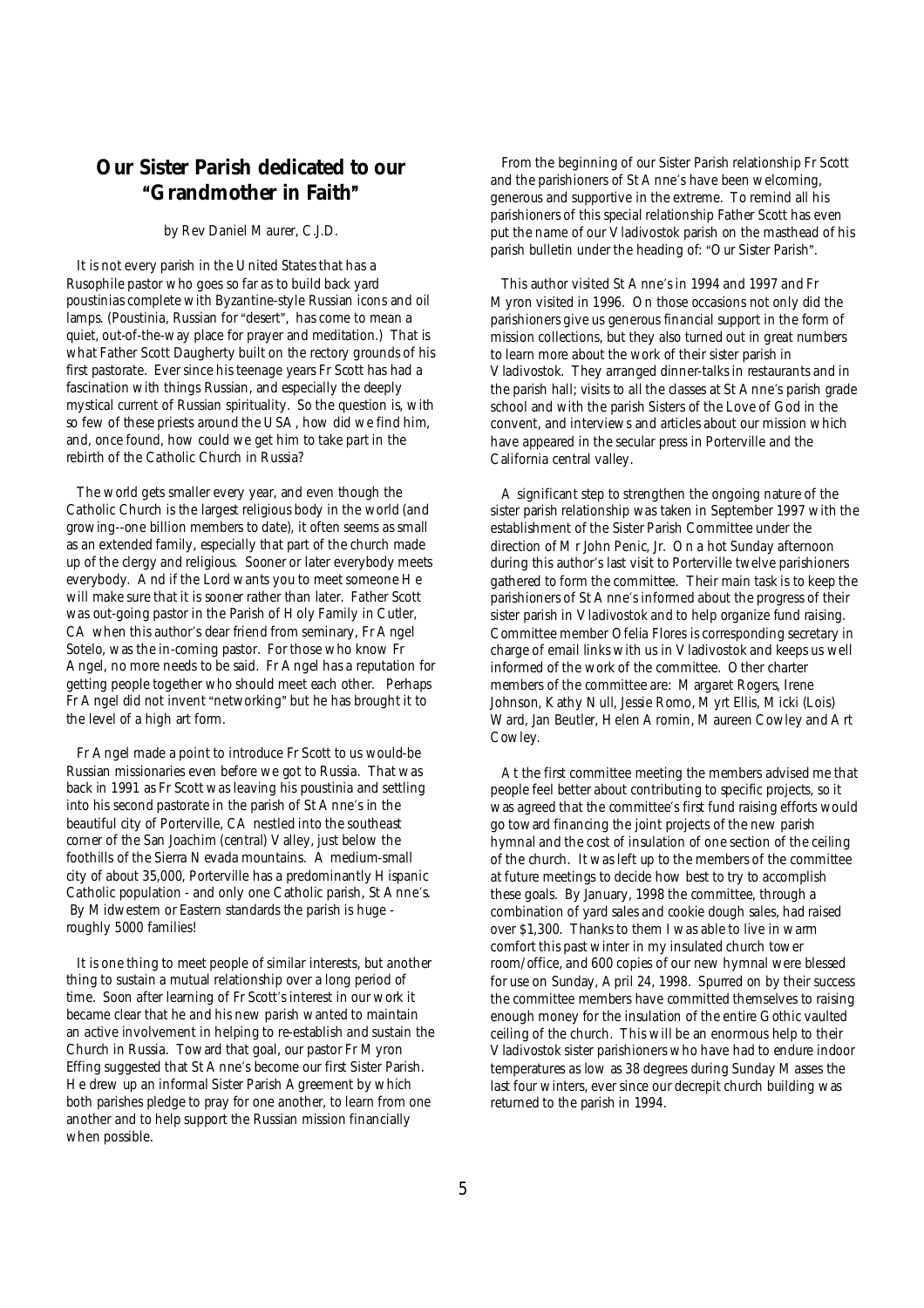# **Our Sister Parish dedicated to our AGrandmother in Faith@**

#### *by Rev Daniel Maurer, C.J.D.*

It is not every parish in the United States that has a Rusophile pastor who goes so far as to build back yard *poustinias* complete with Byzantine-style Russian icons and oil lamps. (*Poustinia*, Russian for "desert", has come to mean a quiet, out-of-the-way place for prayer and meditation.) That is what Father Scott Daugherty built on the rectory grounds of his first pastorate. Ever since his teenage years Fr Scott has had a fascination with things Russian, and especially the deeply mystical current of Russian spirituality. So the question is, with so few of these priests around the USA, how did we find him, and, once found, how could we get him to take part in the rebirth of the Catholic Church in Russia?

The world gets smaller every year, and even though the Catholic Church is the largest religious body in the world (and growing--one billion members to date), it often seems as small as an extended family, especially that part of the church made up of the clergy and religious. Sooner or later everybody meets everybody. And if the Lord wants you to meet someone He will make sure that it is sooner rather than later. Father Scott was out-going pastor in the Parish of Holy Family in Cutler, CA when this author's dear friend from seminary, Fr Angel Sotelo, was the in-coming pastor. For those who know Fr Angel, no more needs to be said. Fr Angel has a reputation for getting people together who should meet each other. Perhaps Fr Angel did not invent "networking" but he has brought it to the level of a high art form.

Fr Angel made a point to introduce Fr Scott to us would-be Russian missionaries even before we got to Russia. That was back in 1991 as Fr Scott was leaving his *poustinia* and settling into his second pastorate in the parish of St Anne's in the beautiful city of Porterville, CA nestled into the southeast corner of the San Joachim (central) Valley, just below the foothills of the Sierra Nevada mountains. A medium-small city of about 35,000, Porterville has a predominantly Hispanic Catholic population - and only one Catholic parish, St Anne's. By Midwestern or Eastern standards the parish is huge roughly 5000 families!

It is one thing to meet people of similar interests, but another thing to sustain a mutual relationship over a long period of time. Soon after learning of Fr Scott's interest in our work it became clear that he and his new parish wanted to maintain an active involvement in helping to re-establish and sustain the Church in Russia. Toward that goal, our pastor Fr Myron Effing suggested that St Anne's become our first Sister Parish. He drew up an informal Sister Parish Agreement by which both parishes pledge to pray for one another, to learn from one another and to help support the Russian mission financially when possible.

 From the beginning of our Sister Parish relationship Fr Scott and the parishioners of St Anne's have been welcoming, generous and supportive in the extreme. To remind all his parishioners of this special relationship Father Scott has even put the name of our Vladivostok parish on the masthead of his parish bulletin under the heading of: "Our Sister Parish".

 This author visited St Anne's in 1994 and 1997 and Fr Myron visited in 1996. On those occasions not only did the parishioners give us generous financial support in the form of mission collections, but they also turned out in great numbers to learn more about the work of their sister parish in Vladivostok. They arranged dinner-talks in restaurants and in the parish hall; visits to all the classes at St Anne's parish grade school and with the parish Sisters of the Love of God in the convent, and interviews and articles about our mission which have appeared in the secular press in Porterville and the California central valley.

 A significant step to strengthen the ongoing nature of the sister parish relationship was taken in September 1997 with the establishment of the Sister Parish Committee under the direction of Mr John Penic, Jr. On a hot Sunday afternoon during this author's last visit to Porterville twelve parishioners gathered to form the committee. Their main task is to keep the parishioners of St Anne's informed about the progress of their sister parish in Vladivostok and to help organize fund raising. Committee member Ofelia Flores is corresponding secretary in charge of email links with us in Vladivostok and keeps us well informed of the work of the committee. Other charter members of the committee are: Margaret Rogers, Irene Johnson, Kathy Null, Jessie Romo, Myrt Ellis, Micki (Lois) Ward, Jan Beutler, Helen Aromin, Maureen Cowley and Art Cowley.

 At the first committee meeting the members advised me that people feel better about contributing to specific projects, so it was agreed that the committee's first fund raising efforts would go toward financing the joint projects of the new parish hymnal and the cost of insulation of one section of the ceiling of the church. It was left up to the members of the committee at future meetings to decide how best to try to accomplish these goals. By January, 1998 the committee, through a combination of yard sales and cookie dough sales, had raised over \$1,300. Thanks to them I was able to live in warm comfort this past winter in my insulated church tower room/office, and 600 copies of our new hymnal were blessed for use on Sunday, April 24, 1998. Spurred on by their success the committee members have committed themselves to raising enough money for the insulation of the entire Gothic vaulted ceiling of the church. This will be an enormous help to their Vladivostok sister parishioners who have had to endure indoor temperatures as low as 38 degrees during Sunday Masses the last four winters, ever since our decrepit church building was returned to the parish in 1994.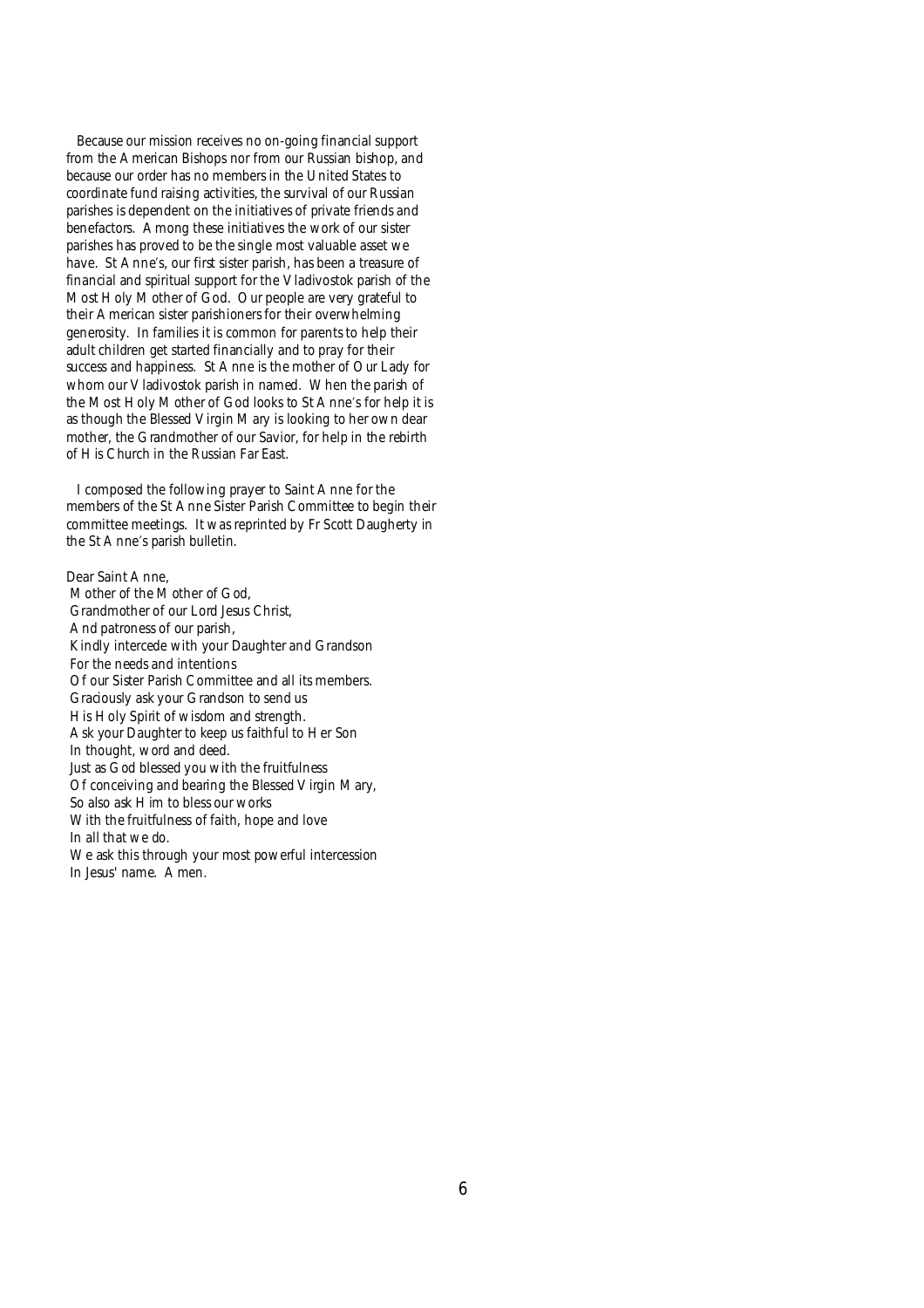Because our mission receives no on-going financial support from the American Bishops nor from our Russian bishop, and because our order has no members in the United States to coordinate fund raising activities, the survival of our Russian parishes is dependent on the initiatives of private friends and benefactors. Among these initiatives the work of our sister parishes has proved to be the single most valuable asset we have. St Anne's, our first sister parish, has been a treasure of financial and spiritual support for the Vladivostok parish of the Most Holy Mother of God. Our people are very grateful to their American sister parishioners for their overwhelming generosity. In families it is common for parents to help their adult children get started financially and to pray for their success and happiness. St Anne is the mother of Our Lady for whom our Vladivostok parish in named. When the parish of the Most Holy Mother of God looks to St Anne's for help it is as though the Blessed Virgin Mary is looking to her own dear mother, the Grandmother of our Savior, for help in the rebirth of His Church in the Russian Far East.

I composed the following prayer to Saint Anne for the members of the St Anne Sister Parish Committee to begin their committee meetings. It was reprinted by Fr Scott Daugherty in the St Anne's parish bulletin.

Dear Saint Anne, Mother of the Mother of God, Grandmother of our Lord Jesus Christ, And patroness of our parish, Kindly intercede with your Daughter and Grandson For the needs and intentions Of our Sister Parish Committee and all its members. Graciously ask your Grandson to send us His Holy Spirit of wisdom and strength. Ask your Daughter to keep us faithful to Her Son In thought, word and deed. Just as God blessed you with the fruitfulness Of conceiving and bearing the Blessed Virgin Mary, So also ask Him to bless our works With the fruitfulness of faith, hope and love In all that we do. We ask this through your most powerful intercession In Jesus' name. Amen.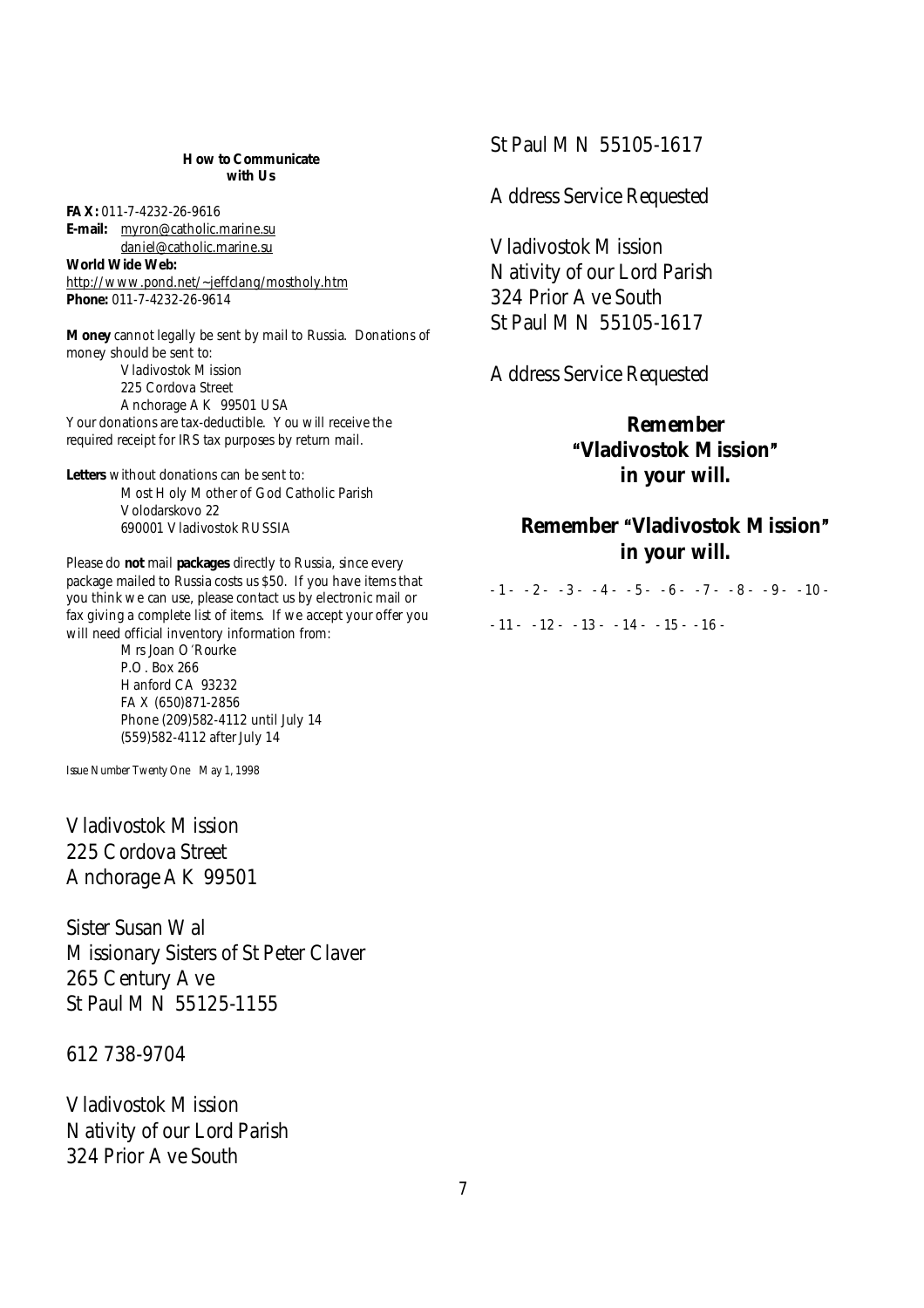**How to Communicate with Us**

**FAX:** 011-7-4232-26-9616 **E-mail:** [myron@catholic.marine.su](mailto:myron@catholic.marine.su) [daniel@catholic.marine.su](mailto:daniel@catholic.marine.su) **World Wide Web:** <http://www.pond.net/~jeffclang/mostholy.htm> **Phone:** 011-7-4232-26-9614

**Money** cannot legally be sent by mail to Russia. Donations of money should be sent to: Vladivostok Mission 225 Cordova Street Anchorage AK 99501 USA Your donations are tax-deductible. You will receive the required receipt for IRS tax purposes by return mail.

**Letters** without donations can be sent to: Most Holy Mother of God Catholic Parish Volodarskovo 22 690001 Vladivostok RUSSIA

Please do **not** mail **packages** directly to Russia, since every package mailed to Russia costs us \$50. If you have items that you think we can use, please contact us by electronic mail or fax giving a complete list of items. If we accept your offer you will need official inventory information from:

Mrs Joan O'Rourke P.O. Box 266 Hanford CA 93232 FAX (650)871-2856 Phone (209)582-4112 until July 14 (559)582-4112 after July 14

Issue Number Twenty One May 1, 1998

Vladivostok Mission 225 Cordova Street Anchorage AK 99501

Sister Susan Wal Missionary Sisters of St Peter Claver 265 Century Ave St Paul MN 55125-1155

612 738-9704

Vladivostok Mission Nativity of our Lord Parish 324 Prior Ave South

St Paul MN 55105-1617

Address Service Requested

Vladivostok Mission Nativity of our Lord Parish 324 Prior Ave South St Paul MN 55105-1617

Address Service Requested

**Remember AVladivostok Mission@ in your will.** 

## **Remember "Vladivostok Mission" in your will.**

 $-1 - 2 - 3 - 4 - 5 - 6 - 7 - 8 - 9 - 10 - 1$  $-11 - 12 - 13 - 13 - 14 - 15 - 16$